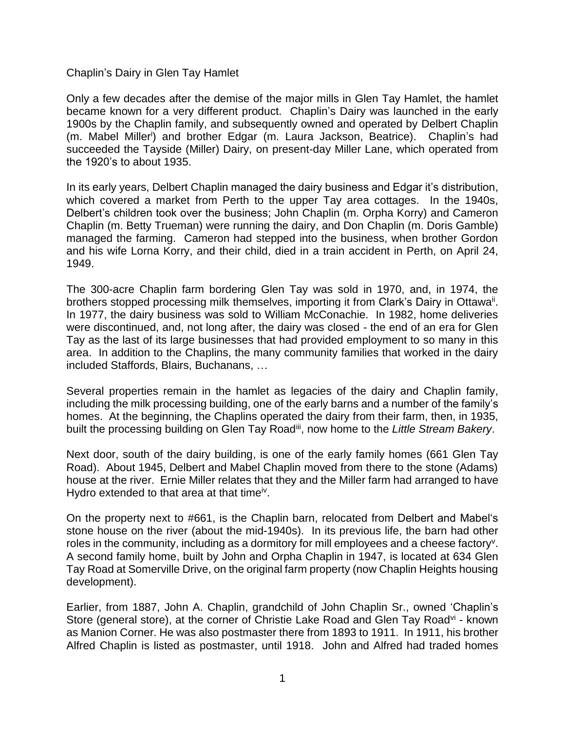Chaplin's Dairy in Glen Tay Hamlet

Only a few decades after the demise of the major mills in Glen Tay Hamlet, the hamlet became known for a very different product. Chaplin's Dairy was launched in the early 1900s by the Chaplin family, and subsequently owned and operated by Delbert Chaplin (m. Mabel Miller<sup>i</sup> ) and brother Edgar (m. Laura Jackson, Beatrice). Chaplin's had succeeded the Tayside (Miller) Dairy, on present-day Miller Lane, which operated from the 1920's to about 1935.

In its early years, Delbert Chaplin managed the dairy business and Edgar it's distribution, which covered a market from Perth to the upper Tay area cottages. In the 1940s, Delbert's children took over the business; John Chaplin (m. Orpha Korry) and Cameron Chaplin (m. Betty Trueman) were running the dairy, and Don Chaplin (m. Doris Gamble) managed the farming. Cameron had stepped into the business, when brother Gordon and his wife Lorna Korry, and their child, died in a train accident in Perth, on April 24, 1949.

The 300-acre Chaplin farm bordering Glen Tay was sold in 1970, and, in 1974, the brothers stopped processing milk themselves, importing it from Clark's Dairy in Ottawa<sup>ii</sup>. In 1977, the dairy business was sold to William McConachie. In 1982, home deliveries were discontinued, and, not long after, the dairy was closed - the end of an era for Glen Tay as the last of its large businesses that had provided employment to so many in this area. In addition to the Chaplins, the many community families that worked in the dairy included Staffords, Blairs, Buchanans, …

Several properties remain in the hamlet as legacies of the dairy and Chaplin family, including the milk processing building, one of the early barns and a number of the family's homes. At the beginning, the Chaplins operated the dairy from their farm, then, in 1935, built the processing building on Glen Tay Road<sup>iii</sup>, now home to the Little Stream Bakery.

Next door, south of the dairy building, is one of the early family homes (661 Glen Tay Road). About 1945, Delbert and Mabel Chaplin moved from there to the stone (Adams) house at the river. Ernie Miller relates that they and the Miller farm had arranged to have Hydro extended to that area at that time<sup>iv</sup>.

On the property next to #661, is the Chaplin barn, relocated from Delbert and Mabel's stone house on the river (about the mid-1940s). In its previous life, the barn had other roles in the community, including as a dormitory for mill employees and a cheese factory<sup>v</sup>. A second family home, built by John and Orpha Chaplin in 1947, is located at 634 Glen Tay Road at Somerville Drive, on the original farm property (now Chaplin Heights housing development).

Earlier, from 1887, John A. Chaplin, grandchild of John Chaplin Sr., owned 'Chaplin's Store (general store), at the corner of Christie Lake Road and Glen Tay Road<sup>vi</sup> - known as Manion Corner. He was also postmaster there from 1893 to 1911. In 1911, his brother Alfred Chaplin is listed as postmaster, until 1918. John and Alfred had traded homes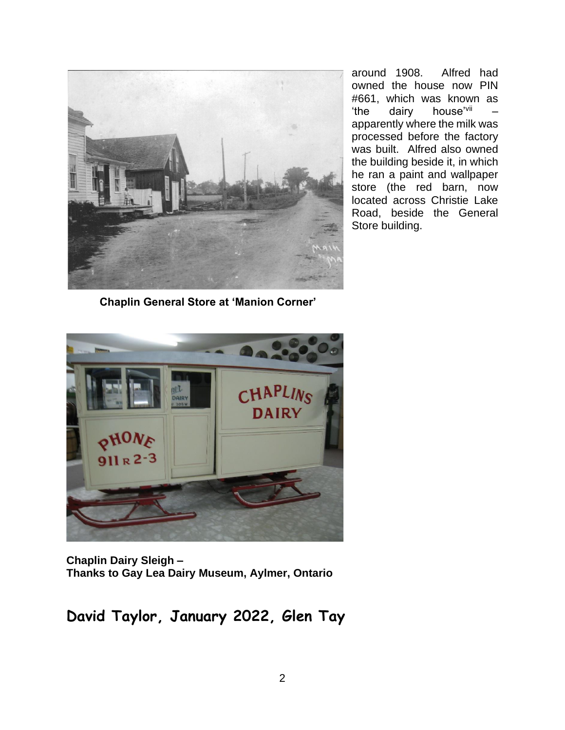

around 1908. Alfred had owned the house now PIN #661, which was known as 'the dairy house'vii – apparently where the milk was processed before the factory was built. Alfred also owned the building beside it, in which he ran a paint and wallpaper store (the red barn, now located across Christie Lake Road, beside the General Store building.

**Chaplin General Store at 'Manion Corner'**



**Chaplin Dairy Sleigh – Thanks to Gay Lea Dairy Museum, Aylmer, Ontario** 

**David Taylor, January 2022, Glen Tay**